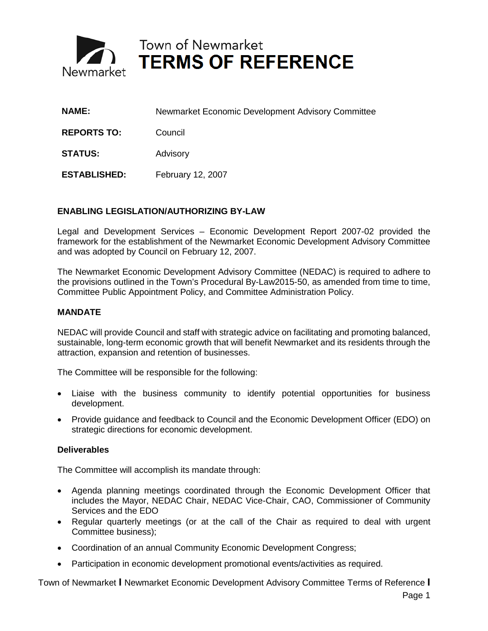

Town of Newmarket<br>
TERMS OF REFERENCE

| <b>NAME:</b>        | Newmarket Economic Development Advisory Committee |
|---------------------|---------------------------------------------------|
| <b>REPORTS TO:</b>  | Council                                           |
| <b>STATUS:</b>      | Advisory                                          |
| <b>ESTABLISHED:</b> | February 12, 2007                                 |

# **ENABLING LEGISLATION/AUTHORIZING BY-LAW**

Legal and Development Services – Economic Development Report 2007-02 provided the framework for the establishment of the Newmarket Economic Development Advisory Committee and was adopted by Council on February 12, 2007.

The Newmarket Economic Development Advisory Committee (NEDAC) is required to adhere to the provisions outlined in the Town's Procedural By-Law2015-50, as amended from time to time, Committee Public Appointment Policy, and Committee Administration Policy.

## **MANDATE**

NEDAC will provide Council and staff with strategic advice on facilitating and promoting balanced, sustainable, long-term economic growth that will benefit Newmarket and its residents through the attraction, expansion and retention of businesses.

The Committee will be responsible for the following:

- Liaise with the business community to identify potential opportunities for business development.
- Provide guidance and feedback to Council and the Economic Development Officer (EDO) on strategic directions for economic development.

#### **Deliverables**

The Committee will accomplish its mandate through:

- Agenda planning meetings coordinated through the Economic Development Officer that includes the Mayor, NEDAC Chair, NEDAC Vice-Chair, CAO, Commissioner of Community Services and the EDO
- Regular quarterly meetings (or at the call of the Chair as required to deal with urgent Committee business);
- Coordination of an annual Community Economic Development Congress;
- Participation in economic development promotional events/activities as required.

Town of Newmarket **I** Newmarket Economic Development Advisory Committee Terms of Reference **I**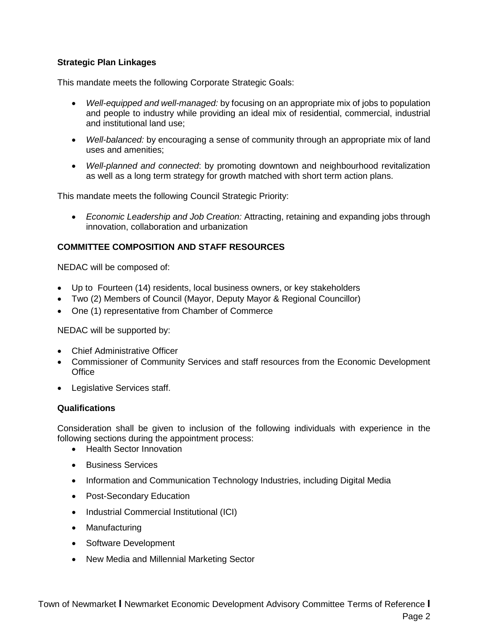# **Strategic Plan Linkages**

This mandate meets the following Corporate Strategic Goals:

- *Well-equipped and well-managed:* by focusing on an appropriate mix of jobs to population and people to industry while providing an ideal mix of residential, commercial, industrial and institutional land use;
- *Well-balanced:* by encouraging a sense of community through an appropriate mix of land uses and amenities;
- *Well-planned and connected*: by promoting downtown and neighbourhood revitalization as well as a long term strategy for growth matched with short term action plans.

This mandate meets the following Council Strategic Priority:

• *Economic Leadership and Job Creation:* Attracting, retaining and expanding jobs through innovation, collaboration and urbanization

# **COMMITTEE COMPOSITION AND STAFF RESOURCES**

NEDAC will be composed of:

- Up to Fourteen (14) residents, local business owners, or key stakeholders
- Two (2) Members of Council (Mayor, Deputy Mayor & Regional Councillor)
- One (1) representative from Chamber of Commerce

NEDAC will be supported by:

- Chief Administrative Officer
- Commissioner of Community Services and staff resources from the Economic Development **Office**
- Legislative Services staff.

## **Qualifications**

Consideration shall be given to inclusion of the following individuals with experience in the following sections during the appointment process:

- Health Sector Innovation
- Business Services
- Information and Communication Technology Industries, including Digital Media
- Post-Secondary Education
- Industrial Commercial Institutional (ICI)
- Manufacturing
- Software Development
- New Media and Millennial Marketing Sector